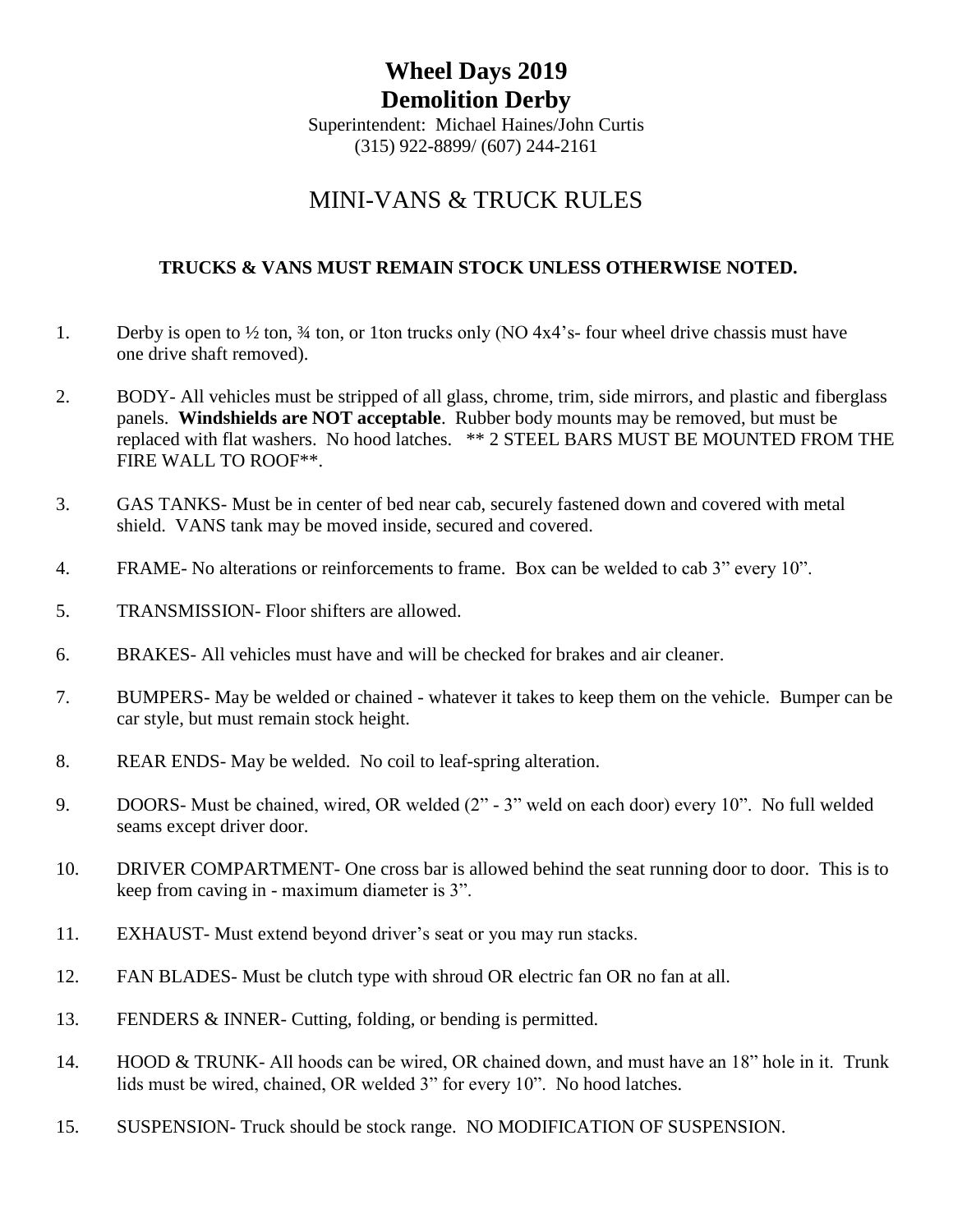## **Wheel Days 2019 Demolition Derby**

Superintendent: Michael Haines/John Curtis (315) 922-8899/ (607) 244-2161

## MINI-VANS & TRUCK RULES

## **TRUCKS & VANS MUST REMAIN STOCK UNLESS OTHERWISE NOTED.**

- 1. Derby is open to  $\frac{1}{2}$  ton,  $\frac{3}{4}$  ton, or 1ton trucks only (NO 4x4's-four wheel drive chassis must have one drive shaft removed).
- 2. BODY- All vehicles must be stripped of all glass, chrome, trim, side mirrors, and plastic and fiberglass panels. **Windshields are NOT acceptable**. Rubber body mounts may be removed, but must be replaced with flat washers. No hood latches. \*\* 2 STEEL BARS MUST BE MOUNTED FROM THE FIRE WALL TO ROOF\*\*.
- 3. GAS TANKS- Must be in center of bed near cab, securely fastened down and covered with metal shield. VANS tank may be moved inside, secured and covered.
- 4. FRAME- No alterations or reinforcements to frame. Box can be welded to cab 3" every 10".
- 5. TRANSMISSION- Floor shifters are allowed.
- 6. BRAKES- All vehicles must have and will be checked for brakes and air cleaner.
- 7. BUMPERS- May be welded or chained whatever it takes to keep them on the vehicle. Bumper can be car style, but must remain stock height.
- 8. REAR ENDS- May be welded. No coil to leaf-spring alteration.
- 9. DOORS- Must be chained, wired, OR welded (2" 3" weld on each door) every 10". No full welded seams except driver door.
- 10. DRIVER COMPARTMENT- One cross bar is allowed behind the seat running door to door. This is to keep from caving in - maximum diameter is 3".
- 11. EXHAUST- Must extend beyond driver's seat or you may run stacks.
- 12. FAN BLADES- Must be clutch type with shroud OR electric fan OR no fan at all.
- 13. FENDERS & INNER- Cutting, folding, or bending is permitted.
- 14. HOOD & TRUNK- All hoods can be wired, OR chained down, and must have an 18" hole in it. Trunk lids must be wired, chained, OR welded 3" for every 10". No hood latches.
- 15. SUSPENSION- Truck should be stock range. NO MODIFICATION OF SUSPENSION.